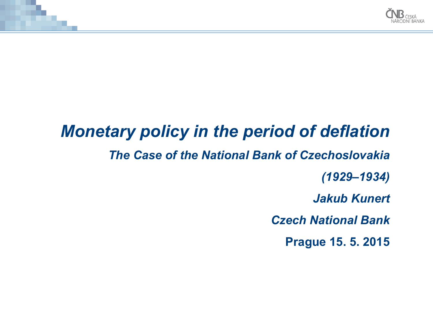

# *Monetary policy in the period of deflation The Case of the National Bank of Czechoslovakia (1929–1934) Jakub Kunert Czech National Bank* **Prague 15. 5. 2015**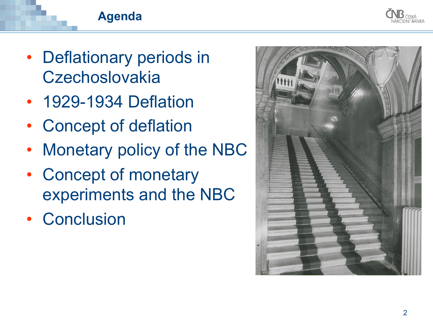

### **Agenda**

- Deflationary periods in **Czechoslovakia**
- 1929-1934 Deflation
- Concept of deflation
- Monetary policy of the NBC
- Concept of monetary experiments and the NBC
- Conclusion

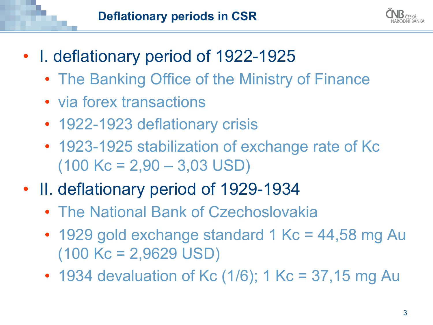

- I. deflationary period of 1922-1925
	- The Banking Office of the Ministry of Finance
	- via forex transactions
	- 1922-1923 deflationary crisis
	- 1923-1925 stabilization of exchange rate of Kc  $(100$  Kc = 2,90  $-$  3,03 USD)
- II. deflationary period of 1929-1934
	- The National Bank of Czechoslovakia
	- 1929 gold exchange standard 1 Kc = 44,58 mg Au  $(100$  Kc = 2,9629 USD)
	- 1934 devaluation of Kc  $(1/6)$ ; 1 Kc = 37,15 mg Au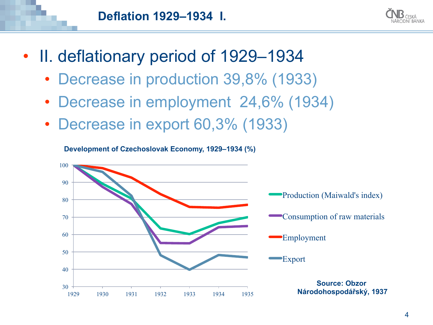



- II. deflationary period of 1929–1934
	- Decrease in production 39,8% (1933)
	- Decrease in employment 24,6% (1934)
	- Decrease in export 60,3% (1933)

**Development of Czechoslovak Economy, 1929–1934 (%)** 

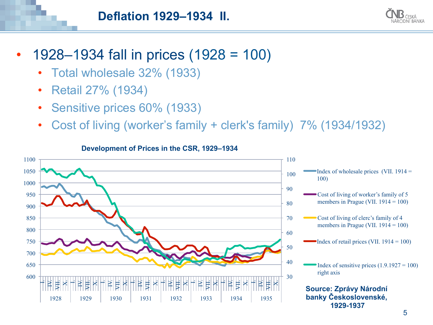

- 1928–1934 fall in prices (1928 = 100)
	- Total wholesale 32% (1933)
	- Retail 27% (1934)
	- Sensitive prices 60% (1933)
	- Cost of living (worker's family + clerk's family) 7% (1934/1932)



#### **Development of Prices in the CSR, 1929–1934**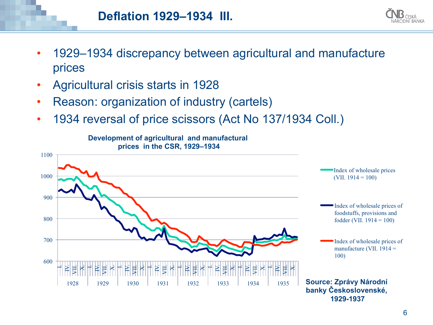

- 1929–1934 discrepancy between agricultural and manufacture prices
- Agricultural crisis starts in 1928
- Reason: organization of industry (cartels)
- 1934 reversal of price scissors (Act No 137/1934 Coll.)

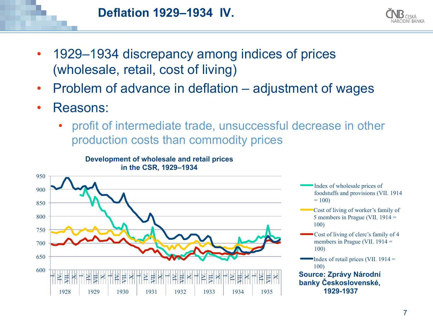



- 1929–1934 discrepancy among indices of prices (wholesale, retail, cost of living)
- Problem of advance in deflation adjustment of wages
- Reasons:
	- profit of intermediate trade, unsuccessful decrease in other production costs than commodity prices



- Index of wholesale prices of foodstuffs and provisions (VII. 1914  $= 100$
- Cost of living of worker's family of 5 members in Prague (VII. 1914 = 100)
- Cost of living of clerc's family of 4 members in Prague (VII. 1914 = 100)
- Index of retail prices (VII.  $1914 =$ 100) **Source: Zprávy Národní banky Československé,**

**1929-1937**

#### **Development of wholesale and retail prices in the CSR, 1929–1934**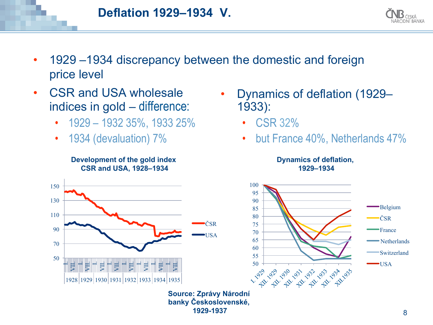



- 1929 –1934 discrepancy between the domestic and foreign price level
- CSR and USA wholesale indices in gold – difference:
	- 1929 1932 35%, 1933 25%
	- 1934 (devaluation) 7%

**Development of the gold index CSR and USA, 1928–1934** 



- Dynamics of deflation (1929– 1933):
	- CSR 32%
	- but France 40%, Netherlands 47%

**Dynamics of deflation, 1929–1934** 



**Source: Zprávy Národní banky Československé, 1929-1937**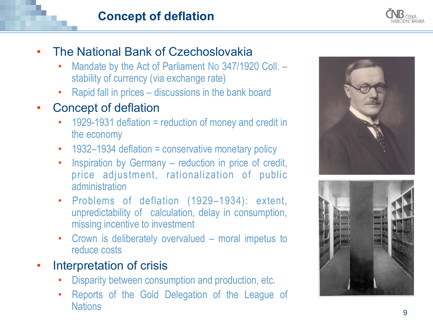## **Concept of deflation**

- The National Bank of Czechoslovakia
	- Mandate by the Act of Parliament No 347/1920 Coll. stability of currency (via exchange rate)
	- Rapid fall in prices discussions in the bank board
- Concept of deflation
	- 1929-1931 deflation = reduction of money and credit in the economy
	-
	- 1932–1934 deflation = conservative monetary policy Inspiration by Germany reduction in price of credit, price adjustment, rationalization of public administration
	- Problems of deflation (1929–1934): extent, unpredictability of calculation, delay in consumption, missing incentive to investment
	- Crown is deliberately overvalued moral impetus to reduce costs
- Interpretation of crisis
	-
	- Disparity between consumption and production, etc. Reports of the Gold Delegation of the League of **Nations**



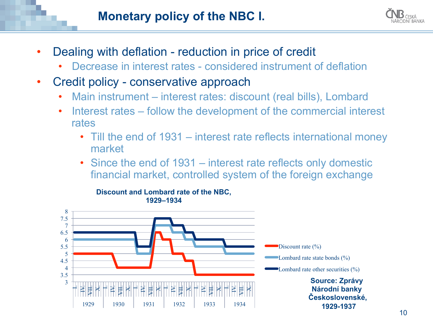## **Monetary policy of the NBC I.**



- Dealing with deflation reduction in price of credit
	- Decrease in interest rates considered instrument of deflation
- Credit policy conservative approach
	- Main instrument interest rates: discount (real bills), Lombard
	- Interest rates follow the development of the commercial interest rates
		- Till the end of 1931 interest rate reflects international money market
		- Since the end of 1931 interest rate reflects only domestic financial market, controlled system of the foreign exchange

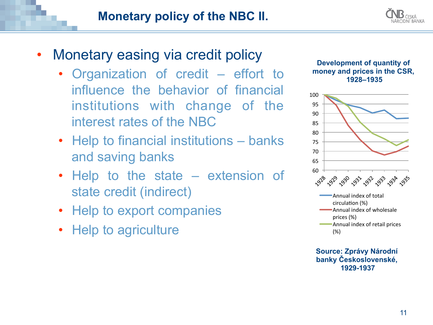

- Monetary easing via credit policy
	- Organization of credit effort to influence the behavior of financial institutions with change of the interest rates of the NBC
	- Help to financial institutions banks and saving banks
	- Help to the state extension of state credit (indirect)
	- Help to export companies
	- Help to agriculture





**Source: Zprávy Národní banky Československé, 1929-1937**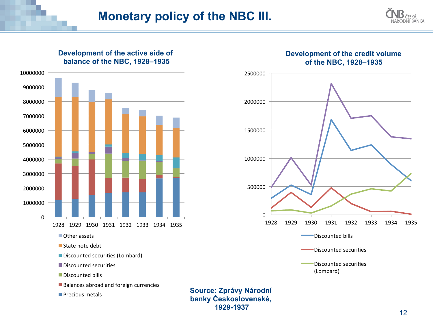**1929-1937**



#### **Development of the active side of balance of the NBC, 1928–1935**





#### **Development of the credit volume of the NBC, 1928–1935**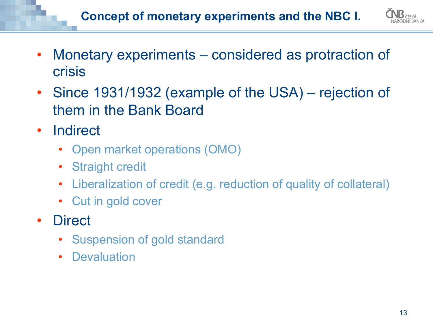

- Monetary experiments considered as protraction of crisis
- Since 1931/1932 (example of the USA) rejection of them in the Bank Board
- Indirect
	- Open market operations (OMO)
	- **Straight credit**
	- Liberalization of credit (e.g. reduction of quality of collateral)
	- Cut in gold cover
- Direct
	- Suspension of gold standard
	- Devaluation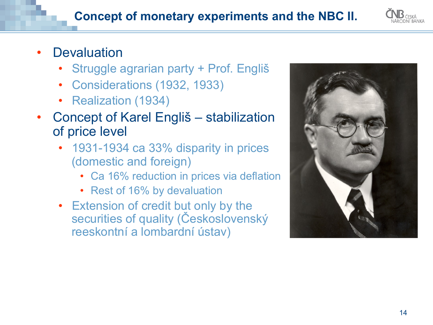

# **Devaluation**

- Struggle agrarian party + Prof. Engliš
- Considerations (1932, 1933)
- Realization (1934)
- Concept of Karel Engliš stabilization of price level
	- 1931-1934 ca 33% disparity in prices (domestic and foreign)
		- Ca 16% reduction in prices via deflation
		- Rest of 16% by devaluation
	- Extension of credit but only by the securities of quality (Československý reeskontní a lombardní ústav)

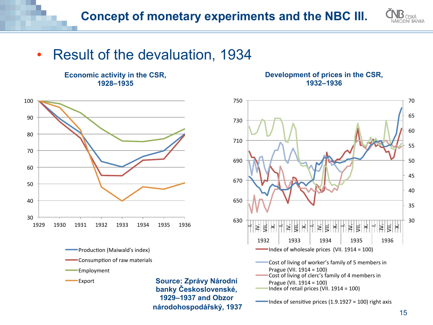

# • Result of the devaluation, 1934

**Economic activity in the CSR, 1928–1935** 







**Source: Zprávy Národní banky Československé, 1929–1937 and Obzor národohospodářský, 1937**

#### **Development of prices in the CSR, 1932–1936**